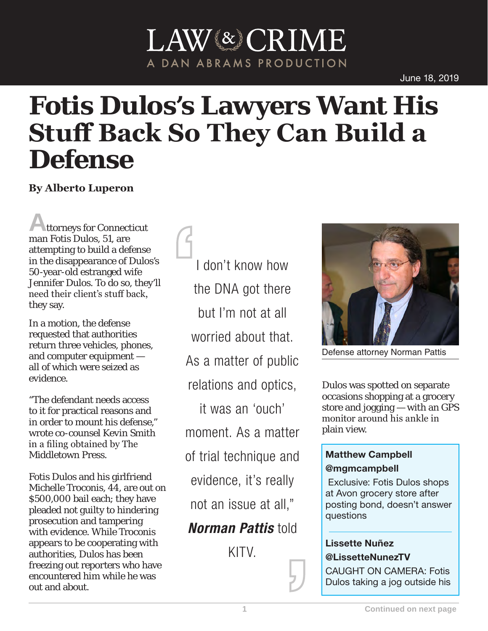# LAW<sup>(&)</sup>CRIME A DAN ABRAMS PRODUCTION

# **Fotis Dulos's Lawyers Want His Stuff Back So They Can Build a Defense**

**By Alberto Luperon**

**A**ttorneys for Connecticut man Fotis Dulos, 51, are attempting to build a defense in the disappearance of Dulos's 50-year-old estranged wife Jennifer Dulos. To do so, they'll need their client's stuff back, they say.

In a motion, the defense requested that authorities return three vehicles, phones, and computer equipment all of which were seized as evidence.

"The defendant needs access to it for practical reasons and in order to mount his defense," wrote co-counsel Kevin Smith in a filing obtained by The Middletown Press.

Fotis Dulos and his girlfriend Michelle Troconis, 44, are out on \$500,000 bail each; they have pleaded not guilty to hindering prosecution and tampering with evidence. While Troconis appears to be cooperating with authorities, Dulos has been freezing out reporters who have encountered him while he was out and about.

I don't know how the DNA got there but I'm not at all worried about that. As a matter of public relations and optics, it was an 'ouch' moment. As a matter of trial technique and evidence, it's really not an issue at all," *Norman Pattis* told

KITV.



Defense attorney Norman Pattis

Dulos was spotted on separate occasions shopping at a grocery store and jogging — with an GPS monitor around his ankle in plain view.

## Matthew Campbell

#### @mgmcampbell

Exclusive: Fotis Dulos shops at Avon grocery store after posting bond, doesn't answer questions

### Lissette Nuñez @LissetteNunezTV

CAUGHT ON CAMERA: Fotis Dulos taking a jog outside his